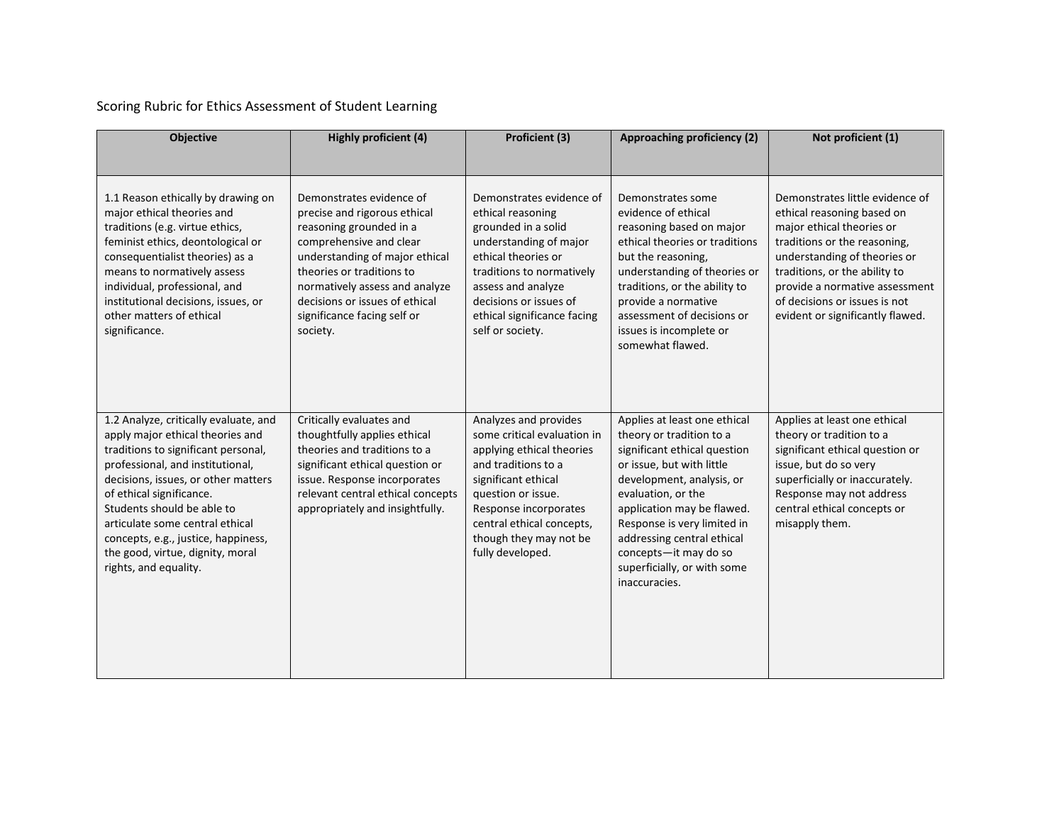## Scoring Rubric for Ethics Assessment of Student Learning

| <b>Objective</b>                                                                                                                                                                                                                                                                                                                                                                             | Highly proficient (4)                                                                                                                                                                                                                                                                        | Proficient (3)                                                                                                                                                                                                                                            | Approaching proficiency (2)                                                                                                                                                                                                                                                                                                                  | Not proficient (1)                                                                                                                                                                                                                                                                                 |
|----------------------------------------------------------------------------------------------------------------------------------------------------------------------------------------------------------------------------------------------------------------------------------------------------------------------------------------------------------------------------------------------|----------------------------------------------------------------------------------------------------------------------------------------------------------------------------------------------------------------------------------------------------------------------------------------------|-----------------------------------------------------------------------------------------------------------------------------------------------------------------------------------------------------------------------------------------------------------|----------------------------------------------------------------------------------------------------------------------------------------------------------------------------------------------------------------------------------------------------------------------------------------------------------------------------------------------|----------------------------------------------------------------------------------------------------------------------------------------------------------------------------------------------------------------------------------------------------------------------------------------------------|
| 1.1 Reason ethically by drawing on<br>major ethical theories and<br>traditions (e.g. virtue ethics,<br>feminist ethics, deontological or<br>consequentialist theories) as a<br>means to normatively assess<br>individual, professional, and<br>institutional decisions, issues, or<br>other matters of ethical<br>significance.                                                              | Demonstrates evidence of<br>precise and rigorous ethical<br>reasoning grounded in a<br>comprehensive and clear<br>understanding of major ethical<br>theories or traditions to<br>normatively assess and analyze<br>decisions or issues of ethical<br>significance facing self or<br>society. | Demonstrates evidence of<br>ethical reasoning<br>grounded in a solid<br>understanding of major<br>ethical theories or<br>traditions to normatively<br>assess and analyze<br>decisions or issues of<br>ethical significance facing<br>self or society.     | Demonstrates some<br>evidence of ethical<br>reasoning based on major<br>ethical theories or traditions<br>but the reasoning,<br>understanding of theories or<br>traditions, or the ability to<br>provide a normative<br>assessment of decisions or<br>issues is incomplete or<br>somewhat flawed.                                            | Demonstrates little evidence of<br>ethical reasoning based on<br>major ethical theories or<br>traditions or the reasoning,<br>understanding of theories or<br>traditions, or the ability to<br>provide a normative assessment<br>of decisions or issues is not<br>evident or significantly flawed. |
| 1.2 Analyze, critically evaluate, and<br>apply major ethical theories and<br>traditions to significant personal,<br>professional, and institutional,<br>decisions, issues, or other matters<br>of ethical significance.<br>Students should be able to<br>articulate some central ethical<br>concepts, e.g., justice, happiness,<br>the good, virtue, dignity, moral<br>rights, and equality. | Critically evaluates and<br>thoughtfully applies ethical<br>theories and traditions to a<br>significant ethical question or<br>issue. Response incorporates<br>relevant central ethical concepts<br>appropriately and insightfully.                                                          | Analyzes and provides<br>some critical evaluation in<br>applying ethical theories<br>and traditions to a<br>significant ethical<br>question or issue.<br>Response incorporates<br>central ethical concepts,<br>though they may not be<br>fully developed. | Applies at least one ethical<br>theory or tradition to a<br>significant ethical question<br>or issue, but with little<br>development, analysis, or<br>evaluation, or the<br>application may be flawed.<br>Response is very limited in<br>addressing central ethical<br>concepts-it may do so<br>superficially, or with some<br>inaccuracies. | Applies at least one ethical<br>theory or tradition to a<br>significant ethical question or<br>issue, but do so very<br>superficially or inaccurately.<br>Response may not address<br>central ethical concepts or<br>misapply them.                                                                |